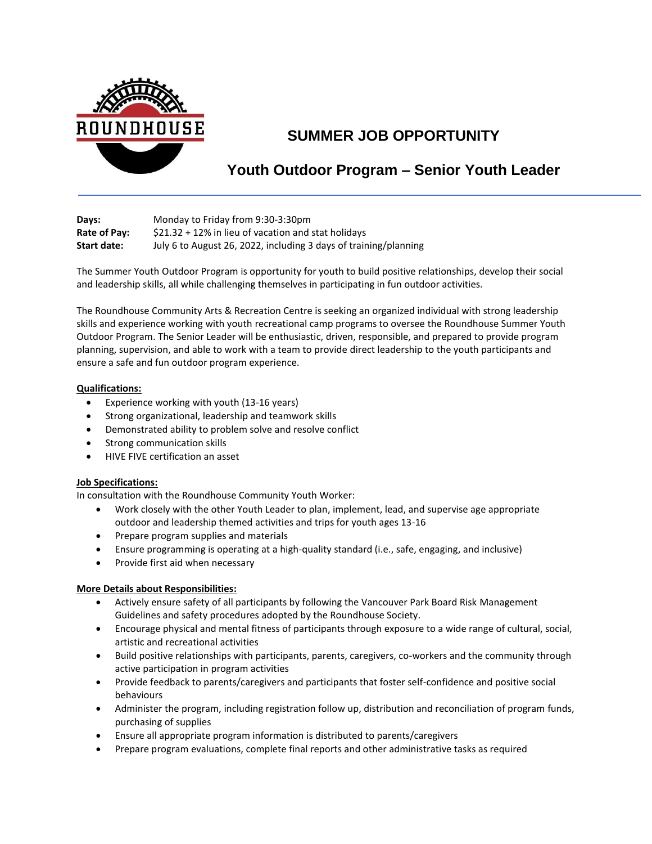

# **SUMMER JOB OPPORTUNITY**

## **Youth Outdoor Program – Senior Youth Leader**

| Days:        | Monday to Friday from 9:30-3:30pm                                |
|--------------|------------------------------------------------------------------|
| Rate of Pay: | $$21.32 + 12\%$ in lieu of vacation and stat holidays            |
| Start date:  | July 6 to August 26, 2022, including 3 days of training/planning |

The Summer Youth Outdoor Program is opportunity for youth to build positive relationships, develop their social and leadership skills, all while challenging themselves in participating in fun outdoor activities.

The Roundhouse Community Arts & Recreation Centre is seeking an organized individual with strong leadership skills and experience working with youth recreational camp programs to oversee the Roundhouse Summer Youth Outdoor Program. The Senior Leader will be enthusiastic, driven, responsible, and prepared to provide program planning, supervision, and able to work with a team to provide direct leadership to the youth participants and ensure a safe and fun outdoor program experience.

#### **Qualifications:**

- Experience working with youth (13-16 years)
- Strong organizational, leadership and teamwork skills
- Demonstrated ability to problem solve and resolve conflict
- Strong communication skills
- HIVE FIVE certification an asset

#### **Job Specifications:**

In consultation with the Roundhouse Community Youth Worker:

- Work closely with the other Youth Leader to plan, implement, lead, and supervise age appropriate outdoor and leadership themed activities and trips for youth ages 13-16
- Prepare program supplies and materials
- Ensure programming is operating at a high-quality standard (i.e., safe, engaging, and inclusive)
- Provide first aid when necessary

#### **More Details about Responsibilities:**

- Actively ensure safety of all participants by following the Vancouver Park Board Risk Management Guidelines and safety procedures adopted by the Roundhouse Society.
- Encourage physical and mental fitness of participants through exposure to a wide range of cultural, social, artistic and recreational activities
- Build positive relationships with participants, parents, caregivers, co-workers and the community through active participation in program activities
- Provide feedback to parents/caregivers and participants that foster self-confidence and positive social behaviours
- Administer the program, including registration follow up, distribution and reconciliation of program funds, purchasing of supplies
- Ensure all appropriate program information is distributed to parents/caregivers
- Prepare program evaluations, complete final reports and other administrative tasks as required